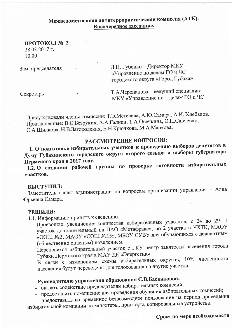### Межведомственная антитеррористическая комиссия (АТК). Внеочередное заседание.

ПРОТОКОЛ № 2 28.03.2017 г. 10.00

Зам. председателя

Д.Н. Губенко - Директор МКУ «Управление по делам ГО и ЧС городского округа «Город Губаха»

Секретарь

Т.А.Черепанова - ведущий специалист МКУ «Управление по делам ГО и ЧС

Присутствовали члены комиссии: Т.Э.Метелева, А.Ю.Самара, А.И. Хлебалов. Приглашенные: В.С.Безруких, А.А.Галкин, Т.А.Овечкина, О.П.Савченко, С.А.Шилкова, Н.В.Загородских, Е.Н.Крючкова, М.А.Маркова.

### РАССМОТРЕНИЕ ВОПРОСОВ:

1. О подготовке избирательных участков к проведению выборов депутатов в Думу Губахинского городского округа второго созыва и выборы губернатора Пермского края в 2017 году.

1.2. О создании рабочей группы по проверке готовности избирательных участков.

### ВЫСТУПИЛ:

Заместитель главы администрации по вопросам организации управления - Алла Юрьевна Самара.

### РЕШИЛИ:

1.1. Информацию принять к сведению.

Произошло увеличение количества избирательных участков, с 24 до 29: 1 участок дополнительный на ПАО «Метафракс», по 2 участка в УХТК, МАОУ «ООШ №2, МАОУ «СОШ №15», МБОУ СУВУ для обучающихся с девиантным (общественно опасным) поведением.

Переносится избирательный участок с ГКУ центр занятости населения города Губахи Пермского края в МАУ ДК «Энергетик».

В связи с изменением схемы избирательных округов, 10% численности населения будут переведены для голосования на другие участки.

## Руководителю управления образования С.В.Баскаковой:

- оказать содействие председателям избирательных комиссий;

- предоставить помещение для проведения обучения избирательных комиссий;
- предоставить во временное безвозмездное пользование на период проведения

избирательной компании: компьютеры, принтеры, копировальные устройства.

Срок: по мере необходимости